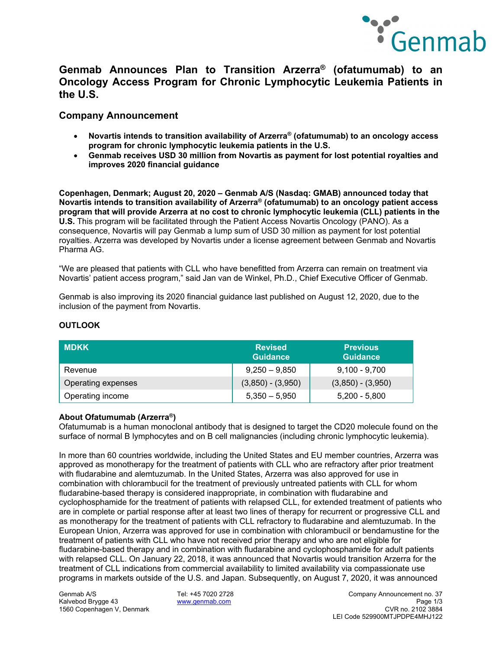

# **Genmab Announces Plan to Transition Arzerra® (ofatumumab) to an Oncology Access Program for Chronic Lymphocytic Leukemia Patients in the U.S.**

### **Company Announcement**

- **Novartis intends to transition availability of Arzerra® (ofatumumab) to an oncology access program for chronic lymphocytic leukemia patients in the U.S.**
- **Genmab receives USD 30 million from Novartis as payment for lost potential royalties and improves 2020 financial guidance**

**Copenhagen, Denmark; August 20, 2020 – Genmab A/S (Nasdaq: GMAB) announced today that Novartis intends to transition availability of Arzerra® (ofatumumab) to an oncology patient access program that will provide Arzerra at no cost to chronic lymphocytic leukemia (CLL) patients in the U.S.** This program will be facilitated through the Patient Access Novartis Oncology (PANO). As a consequence, Novartis will pay Genmab a lump sum of USD 30 million as payment for lost potential royalties. Arzerra was developed by Novartis under a license agreement between Genmab and Novartis Pharma AG.

"We are pleased that patients with CLL who have benefitted from Arzerra can remain on treatment via Novartis' patient access program," said Jan van de Winkel, Ph.D., Chief Executive Officer of Genmab.

Genmab is also improving its 2020 financial guidance last published on August 12, 2020, due to the inclusion of the payment from Novartis.

| <b>MDKK</b>        | <b>Revised</b><br><b>Guidance</b> | <b>Previous</b><br><b>Guidance</b> |
|--------------------|-----------------------------------|------------------------------------|
| Revenue            | $9,250 - 9,850$                   | $9,100 - 9,700$                    |
| Operating expenses | $(3,850) - (3,950)$               | $(3,850) - (3,950)$                |
| Operating income   | $5,350 - 5,950$                   | $5,200 - 5,800$                    |

### **OUTLOOK**

### **About Ofatumumab (Arzerra®)**

Ofatumumab is a human monoclonal antibody that is designed to target the CD20 molecule found on the surface of normal B lymphocytes and on B cell malignancies (including chronic lymphocytic leukemia).

In more than 60 countries worldwide, including the United States and EU member countries, Arzerra was approved as monotherapy for the treatment of patients with CLL who are refractory after prior treatment with fludarabine and alemtuzumab. In the United States, Arzerra was also approved for use in combination with chlorambucil for the treatment of previously untreated patients with CLL for whom fludarabine-based therapy is considered inappropriate, in combination with fludarabine and cyclophosphamide for the treatment of patients with relapsed CLL, for extended treatment of patients who are in complete or partial response after at least two lines of therapy for recurrent or progressive CLL and as monotherapy for the treatment of patients with CLL refractory to fludarabine and alemtuzumab. In the European Union, Arzerra was approved for use in combination with chlorambucil or bendamustine for the treatment of patients with CLL who have not received prior therapy and who are not eligible for fludarabine-based therapy and in combination with fludarabine and cyclophosphamide for adult patients with relapsed CLL. On January 22, 2018, it was announced that Novartis would transition Arzerra for the treatment of CLL indications from commercial availability to limited availability via compassionate use programs in markets outside of the U.S. and Japan. Subsequently, on August 7, 2020, it was announced

1560 Copenhagen V, Denmark

Genmab A/S Tel: +45 7020 2728 Company Announcement no. 37 Kalvebod Brygge 43 www.genmab.com Page 1/3 LEI Code 529900MTJPDPE4MHJ122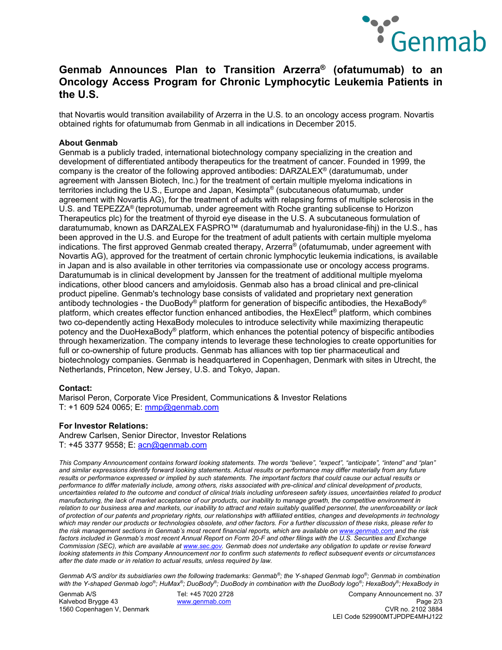

## **Genmab Announces Plan to Transition Arzerra® (ofatumumab) to an Oncology Access Program for Chronic Lymphocytic Leukemia Patients in the U.S.**

that Novartis would transition availability of Arzerra in the U.S. to an oncology access program. Novartis obtained rights for ofatumumab from Genmab in all indications in December 2015.

#### **About Genmab**

Genmab is a publicly traded, international biotechnology company specializing in the creation and development of differentiated antibody therapeutics for the treatment of cancer. Founded in 1999, the company is the creator of the following approved antibodies: DARZALEX® (daratumumab, under agreement with Janssen Biotech, Inc.) for the treatment of certain multiple myeloma indications in territories including the U.S., Europe and Japan, Kesimpta® (subcutaneous ofatumumab, under agreement with Novartis AG), for the treatment of adults with relapsing forms of multiple sclerosis in the U.S. and TEPEZZA® (teprotumumab, under agreement with Roche granting sublicense to Horizon Therapeutics plc) for the treatment of thyroid eye disease in the U.S. A subcutaneous formulation of daratumumab, known as DARZALEX FASPRO™ (daratumumab and hyaluronidase-fihj) in the U.S., has been approved in the U.S. and Europe for the treatment of adult patients with certain multiple myeloma indications. The first approved Genmab created therapy, Arzerra® (ofatumumab, under agreement with Novartis AG), approved for the treatment of certain chronic lymphocytic leukemia indications, is available in Japan and is also available in other territories via compassionate use or oncology access programs. Daratumumab is in clinical development by Janssen for the treatment of additional multiple myeloma indications, other blood cancers and amyloidosis. Genmab also has a broad clinical and pre-clinical product pipeline. Genmab's technology base consists of validated and proprietary next generation antibody technologies - the DuoBody® platform for generation of bispecific antibodies, the HexaBody® platform, which creates effector function enhanced antibodies, the HexElect® platform, which combines two co-dependently acting HexaBody molecules to introduce selectivity while maximizing therapeutic potency and the DuoHexaBody® platform, which enhances the potential potency of bispecific antibodies through hexamerization. The company intends to leverage these technologies to create opportunities for full or co-ownership of future products. Genmab has alliances with top tier pharmaceutical and biotechnology companies. Genmab is headquartered in Copenhagen, Denmark with sites in Utrecht, the Netherlands, Princeton, New Jersey, U.S. and Tokyo, Japan.

#### **Contact:**

Marisol Peron, Corporate Vice President, Communications & Investor Relations T: +1 609 524 0065; E: mmp@genmab.com

#### **For Investor Relations:**

Andrew Carlsen, Senior Director, Investor Relations T: +45 3377 9558; E: acn@genmab.com

*This Company Announcement contains forward looking statements. The words "believe", "expect", "anticipate", "intend" and "plan" and similar expressions identify forward looking statements. Actual results or performance may differ materially from any future results or performance expressed or implied by such statements. The important factors that could cause our actual results or performance to differ materially include, among others, risks associated with pre-clinical and clinical development of products, uncertainties related to the outcome and conduct of clinical trials including unforeseen safety issues, uncertainties related to product manufacturing, the lack of market acceptance of our products, our inability to manage growth, the competitive environment in relation to our business area and markets, our inability to attract and retain suitably qualified personnel, the unenforceability or lack of protection of our patents and proprietary rights, our relationships with affiliated entities, changes and developments in technology which may render our products or technologies obsolete, and other factors. For a further discussion of these risks, please refer to the risk management sections in Genmab's most recent financial reports, which are available on www.genmab.com and the risk*  factors included in Genmab's most recent Annual Report on Form 20-F and other filings with the U.S. Securities and Exchange *Commission (SEC), which are available at www.sec.gov. Genmab does not undertake any obligation to update or revise forward looking statements in this Company Announcement nor to confirm such statements to reflect subsequent events or circumstances after the date made or in relation to actual results, unless required by law.* 

*Genmab A/S and/or its subsidiaries own the following trademarks: Genmab®; the Y-shaped Genmab logo®; Genmab in combination with the Y-shaped Genmab logo®; HuMax®; DuoBody®; DuoBody in combination with the DuoBody logo®; HexaBody®; HexaBody in* 

1560 Copenhagen V, Denmark

Genmab A/S Tel: +45 7020 2728 Company Announcement no. 37 kalvebod Brygge 43 <u>www.genmab.com</u> Page 2/3<br>1560 Copenhagen V. Denmark CVR no. 2102 3884 LEI Code 529900MTJPDPE4MHJ122